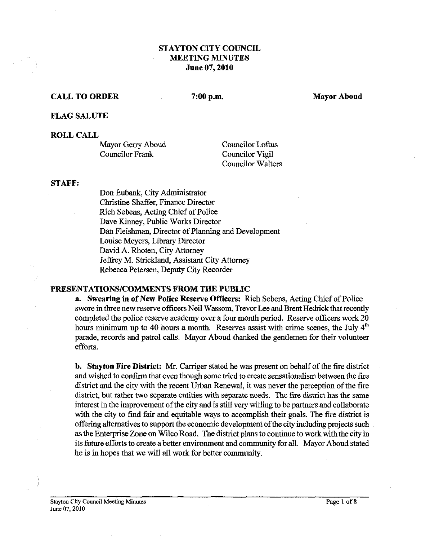## **STAYTON ClTY COUNCIL MEETING MINUTES June 07,2010**

#### **CALL TO ORDER**

 $7:00$  p.m.

**Mayor Aboud** 

#### **FLAG SALUTE**

#### **ROLL CALL**

Mayor Gerry Aboud Councilor Frank

Councilor Loftus Councilor Vigil Councilor Walters

#### **STAFF:**

Don Eubank, City Administrator Christine Shaffer, Finance Director Rich Sebens, Acting Chief of Police Dave Kinney, Public Works Director Dan Fleishman, Director of Planning and Development Louise Meyers, Library Director David A. Rhoten, City Attomey Jeffrey M. Strickland, Assistant City Attomey Rebecca Petersen, Deputy City Recorder

#### **PRESENTATIONSICOMMENTS FROM THE PUBLIC**

**a. Swearing in of New Police Reserve Officers:** Rich Sebens, Acting Chief of Police swore in three new reserve officers Neil Wassom, Trevor Lee and Brent Hedrick that recently completed the police reserve academy over a four month period. Reserve officers work 20 hours minimum up to 40 hours a month. Reserves assist with crime scenes, the July  $4<sup>th</sup>$ parade, records and patrol calls. Mayor Aboud thanked the gentlemen for their volunteer efforts.

**b.** Stayton Fire District: Mr. Carriger stated he was present on behalf of the fire district and wished to confirm that even though some tried to create sensationalism between the fire district and the city with the recent Urban Renewal, it was never the perception of the fire district, but rather two separate entities with separate needs. The fire district has the same interest in the improvement of the city and is still very willing to be partners and collaborate with the city to find fair and equitable ways to accomplish their goals. The fire district is offering alternatives to support the economic development of the city including projects such as the Enterprise Zone on Wilco Road. The district plans to continue to work with the city in its future efforts to create a better environment and community for all. Mayor Aboud stated he is in hopes that we will all work for better community.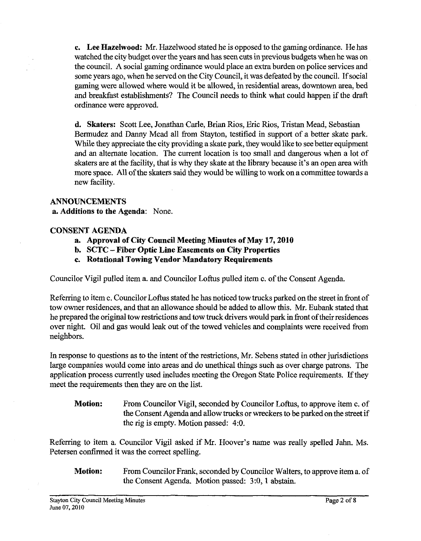**c. Lee Hazelwood: Mr.** Hazelwood stated he is opposed to the gaming ordinance. He has watched the city budget over the years and has seen cuts in previous budgets when he was on the council. A social gaming ordinance would place an extra burden on police services and some years ago, when he served on the City Council, it was defeated by the council. If social gaming were allowed where would it be allowed, in residential areas, downtown area, bed and breakfast establishments? The Council needs to think what could happen if the draft ordinance were approved.

**d. Skaters:** Scott Lee, Jonathan Carle, Brian Rios, Eric Rios, Tristan Mead, Sebastian Bermudez and Danny Mead all from Stayton, testified in support of a better skate park. While they appreciate the city providing a skate park, they would like to see better equipment and an alternate location. The current location is too small and dangerous when a lot of skaters are at the facility, that is why they skate at the library because it's an open area with more space. All of the skaters said they would be willing to work on a committee towards a new facility.

## **ANNOUNCEMENTS**

**a. Additions to the Agenda:** None.

#### **CONSENT AGENDA**

- **a. Approval of City Council Meeting Minutes of May 17,2010**
- **b. SCTC -Fiber Optic Line Easements on City Properties**
- **c. Rotational Towing Vendor Mandatory Requirements**

Councilor Vigil pulled item a. and Councilor Loftus pulled item c. of the Consent Agenda.

Referring to item c. Councilor Loftus stated he has noticed tow trucks parked on the street in front of tow owner residences, and that an allowance should be added to allow this. Mr. Eubank stated that he prepared the original tow restrictions and tow truck drivers would park in fiont of their residences over night. Oil and gas would leak out of the towed vehicles and complaints were received from neighbors.

In response to questions as to the intent of the restrictions, Mr. Sebens stated in other jurisdictions large companies would come into areas and do unethical things such as over charge patrons. The application process currently used includes meeting the Oregon State Police requirements. If they meet the requirements then they are on the list.

**Motion:** From Councilor Vigil, seconded by Councilor Loftus, to approve item c. of the Consent Agenda and allow trucks or wreckers to be parked on the street if the rig is empty. Motion passed: 4:O.

Referring to item a. Councilor Vigil asked if Mr. Hoover's name was really spelled Jahn. Ms. Petersen confirmed it was the correct spelling.

**Motion:** From Councilor Frank, seconded by Councilor Walters, to approve item a. of the Consent Agenda. Motion passed: 3:0, 1 abstain.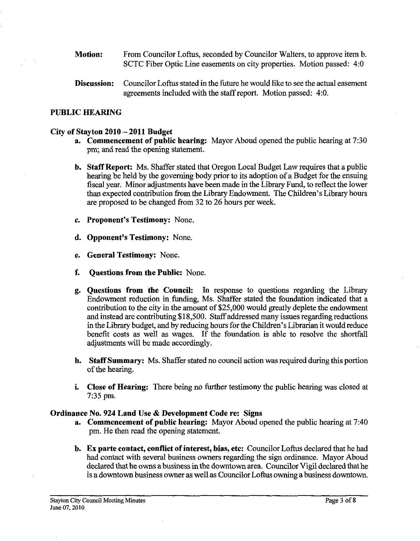- **Motion:** From Councilor Loftus, seconded by Councilor Walters, to approve item b. SCTC Fiber Optic Line easements on city properties. Motion passed: 4:0
- **Discussion:** Councilor Loftus stated in the future he would like to see the actual easement agreements included with the staff report. Motion passed: 4:O.

## **PUBLIC HEARING**

#### **City of Stayton 2010** - **2011 Budget**

- **a. Commencement of public hearing:** Mayor Aboud opened the public hearing at 7:30 pm; and read the opening statement.
- **b. Staff Report:** Ms. Shaffer stated that Oregon Local Budget Law requires that a public hearing be held by the governing body prior to its adoption of a Budget for the ensuing fiscal year. Minor adjustments have been made in the Library Fund, to reflect the lower than expected contribution fiom the Library Endowment. The Children's Library hours are proposed to be changed fiom 32 to 26 hours per week.
- **c. Proponent's Testimony:** None.
- **d. Opponent's Testimony:** None.
- **e. General Testimony:** None.
- **f. Questions from the Public:** None.
- **g. Questions from the Council:** In response to questions regarding the Library Endowment reduction in funding, Ms. Shaffer stated the foundation indicated that a contribution to the city in the amount of \$25,000 would greatly deplete the endowment and instead are contributing \$1 8,500. Staff addressed many issues regarding reductions in the Library budget, and by reducing hours for the Children's Librarian it would reduce benefit costs as well as wages. If the foundation is able to resolve the shortfall adjustments will be made accordingly.
- **h. Staff Summary:** Ms. Shaffer stated no council action was required during this portion of the hearing.
- **i. Close of Hearing:** There being no further testimony the public hearing was closed at **7:35** pm.

#### **Ordinance No. 924 Land Use** & **Development Code re: Signs**

- **a. Commencement of public hearing:** Mayor Aboud opened the public hearing at 7:40 pm. He then read the opening statement.
- **b.** Ex **parte contact, conflict of interest, bias, etc:** Councilor Loftus declared that he had had contact with several business owners regarding the sign ordinance. Mayor Aboud declared that he owns a business in the downtown area. Councilor Vigil declared that he is a downtown business owner as well **as** Councilor Loftus owning a business downtown.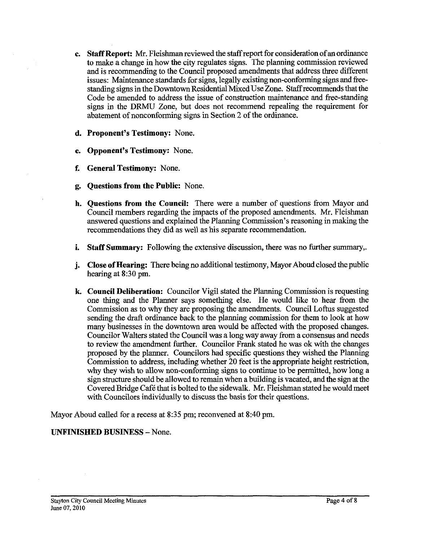- **c.** Staff Report: Mr. Fleishman reviewed the staff report for consideration of an ordinance to make a change in how the city regulates signs. The planning commission reviewed and is recommending to the Council proposed amendments that address three different issues: Maintenance standards for signs, legally existing non-conforming signs and freestanding signs in the Downtown Residential Mixed Use Zone. Staff recommends that the Code be amended to address the issue of construction maintenance and free-standing signs in the DRMU Zone, but does not recommend repealing the requirement for abatement of nonconforming signs in Section 2 of the ordinance.
- **d. Proponent's Testimony:** None.
- **e. Opponent's Testimony:** None.
- **f. General Testimony:** None.
- **g. Questions from the Public:** None.
- **h. Questions from the Council:** There were a number of questions from Mayor and Council members regarding the impacts of the proposed amendments. Mr. Fleishman answered questions and explained the Planning Commission's reasoning in making the recommendations they did as well as his separate recommendation.
- **i.** Staff Summary: Following the extensive discussion, there was no further summary,.
- **j. Close of Hearing:** There being no additional testimony, Mayor Aboud closed the public hearing at 8:30 pm.
- **k. Council Deliberation:** Councilor Vigil stated the Planning Commission is requesting one thing and the Planner says something else. He would like to hear from the Commission as to why they are proposing the amendments. Council Loftus suggested sending the draft ordinance back to the planning commission for them to look at how many businesses in the downtown area would be afFected with the proposed changes. Councilor Walters stated the Council was **a** long way away from a consensus and needs to review the amendment further. Councilor Frank stated he was ok with the changes proposed by the planner. Councilors had specific questions they wished the Planning Commission to address, including whether 20 feet is the appropriate height restriction, why they wish to allow non-conforming signs to continue to be permitted, how long a sign structure should be allowed to remain when a building is vacated, and the sign at the Covered Bridge Café that is bolted to the sidewalk. Mr. Fleishman stated he would meet with Councilors individually to discuss the basis for their questions.

Mayor Aboud called for a recess at 8:35 pm; reconvened at 8:40 pm.

# **UNFINISHED BUSINESS** -None.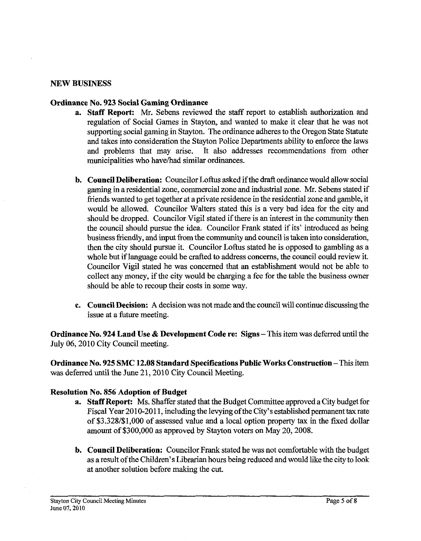#### **NEW BUSINESS**

#### **Ordinance No. 923 Social Gaming Ordinance**

- **a. Staff Report: Mr.** Sebens reviewed the staff report to establish authorization and regulation of Social Games in Stayton, and wanted to make it clear that he was not supporting social gaming in stayton. The ordinance adheres to the Oregon State Statute and takes into consideration the Stayton Police Departments ability to enforce the laws and problems that may arise. It also addresses recommendations from other municipalities who have/had similar ordinances.
- **b. Council Deliberation:** Councilor Loftus asked if the draft ordinance would allow social gaming in aresidential zone, commercial zone and industrial zone. Mr. Sebens stated if fiends wanted to get together at aprivate residence in the residential zone and gamble, it would be allowed. Councilor Walters stated this is a very bad idea for the city and should be dropped. Councilor Vigil stated if there is an interest in the community then the council should pursue the idea. Councilor Frank stated if its' introduced as being business friendly, and input from the community and council is taken into consideration, then the city should pursue it. Councilor Loftus stated he is opposed to gambling as a whole but if language could be crafted to address concerns, the council could review it. Councilor Vigil stated he was concerned that an establishment would not be able to collect any money, if the city would be charging a fee for the table the business owner should be able to recoup their costs in some way.
- **c. Council Decision: A** decision was not made and the council will continue discussing the issue at a future meeting.

**Ordinance No. 924 Land Use & Development Code re: Signs – This item was deferred until the** July 06, 2010 City Council meeting.

**Ordinance No. 925 SMC 12.08 Standard Specifications Public Works Construction - This item** was deferred until the June 21,2010 City Council Meeting.

## **Resolution No. 856 Adoption of Budget**

- **a.** Staff Report: Ms. Shaffer stated that the Budget Committee approved a City budget for Fiscal Year 2010-2011, including the levying of the City's established permanent tax rate of \$3.328/\$1,000 of assessed value and a local option property **tax** in the fixed dollar amount of \$300,000 as approved by Stayton voters on May 20,2008.
- **b. Council Deliberation:** Councilor Frank stated he was not comfortable with the budget as a result of the Children's Librarian hours being reduced and would like the city to look at another solution before making the cut.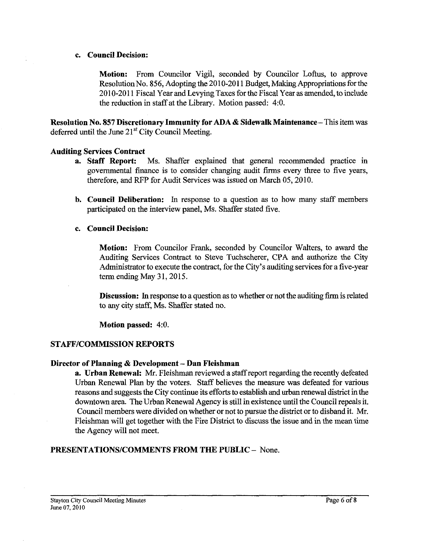#### **c. Council Decision:**

**Motion:** From Councilor Vigil, seconded by Councilor Loftus, to approve Resolution No. 856, Adopting the 2010-2011 Budget, Making Appropriations for the 2010-201 1 Fiscal Year and Levying Taxes for the Fiscal Year as amended, to include the reduction in staff at the Library. Motion passed: 4:0.

**Resolution No. 857 Discretionary Immunity for ADA** & **Sidewalk Maintenance-** This item was deferred until the June 21<sup>st</sup> City Council Meeting.

#### **Auditing Services Contract**

- **a. Staff Report:** Ms. Shaffer explained that general recommended practice in governmental finance is to consider changing audit firms every three to five years, therefore, and RFP for Audit Services was issued on March 05,2010.
- **b. Council Deliberation: In** response to a question as to how many staff members participated on the interview panel, Ms. Shaffer stated five.

#### **c. Council Decision:**

**Motion:** From Councilor Frank, seconded by Councilor Walters, to award the Auditing Services Contract to Steve Tuchscherer, CPA and authorize the City Administrator to execute the contract, for the City's auditing services for a five-year term ending May 31, 2015.

**Discussion:** In response to a question as to whether or not the auditing firm is related to any city staff, Ms. Shaffer stated no.

**Motion passed:** 4:O.

## **STAFF/COMMISSION REPORTS**

## **Director of Planning** & **Development** - **Dan Fleishman**

**a.** Urban Renewal: Mr. Fleishman reviewed a staff report regarding the recently defeated Urban Renewal Plan bv the voters. **Staff** believes the measure was defeated for various reasons and suggests the City continue its efforts to establish and urban renewal district inthe downtown area. The Urban Renewal Agency is still in existence until the Council repeals it. Council members were divided on whether or not to pursue the district or to disband it. Mr. Fleishman will get together with the Fire District to discuss the issue and in the mean time the Agency will not meet.

## **PRESENTATIONSICOMMENTS FROM THE PUBLIC** - None.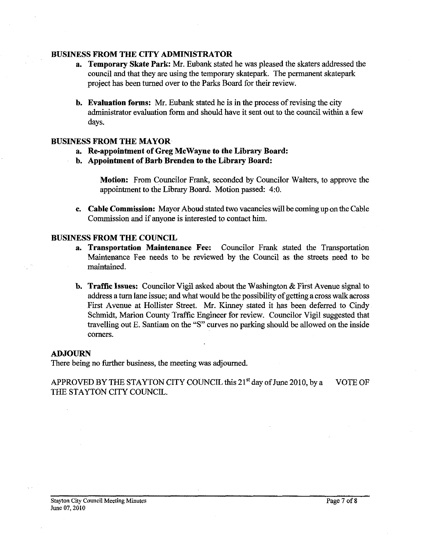## **BUSINESS FROM THE CITY ADMINISTRATOR**

- **a. Temporary Skate Park: Mr.** Eubank stated he was pleased the skaters addressed the council and that they are using the temporary skatepark. The permanent skatepark project has been turned over to the Parks Board for their review.
- **b.** Evaluation forms: Mr. Eubank stated he is in the process of revising the city administrator evaluation form and should have it sent out to the council within a few days.

#### **BUSINESS FROM THE MAYOR**

- **a. Re-appointment of Greg McWayne to the Library Board:**
- **b. Appointment of Barb Brenden to the Library Board:**

**Motion:** From Councilor Frank, seconded by Councilor Walters, to approve the appointment to the Library Board. Motion passed: 4:O.

**c. Cable Commission:** Mayor Aboud stated two vacancies will be coming up on the Cable Commission and if anyone is interested to contact him.

#### **BUSINESS FROM THE COUNCIL**

- **a. Transportation Maintenance Fee:** Councilor Frank stated the Transportation Maintenance Fee needs to be reviewed by the Council as the streets need to be maintained.
- **b. Traffic Issues:** Councilor Vigil asked about the Washington & Fist Avenue signal to address a **turn** lane issue; and what would be the possibility of getting a cross walk across First Avenue at Hollister Street. Mr. Kinney stated it has been deferred to Cindy Schmidt, Marion County Traffic Engineer for review. Councilor Vigil suggested that travelling out E. Santiam on the **"S"** curves no parking should be allowed on the inside comers.

#### **ADJOURN**

There being no further business, the meeting was adjourned.

APPROVED BY THE STAYTON CITY COUNCIL this  $21<sup>st</sup>$  day of June 2010, by a VOTE OF THE STAYTON CITY COUNCIL.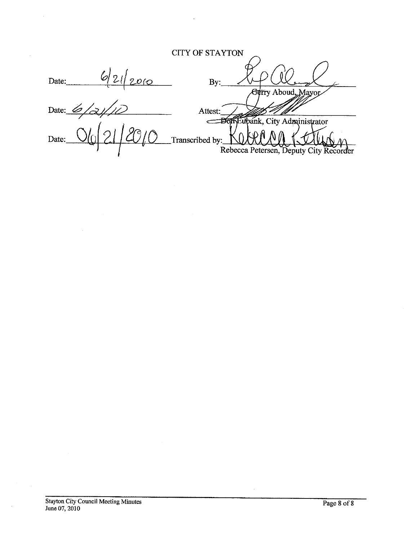# CITY OF **STAYTON**

| –<br>יע |                                                                               |
|---------|-------------------------------------------------------------------------------|
|         | $Q_{\text{max}}$ , $\Lambda$ $\text{has}$ , $\Lambda$ , $\Lambda$ , $\Lambda$ |

Date:  $\frac{6}{3}$ Attest: Bon Eupank, City Administrator  $\epsilon$ Date: Transcribed by: Rebecca Petersen, Deputy City Recorder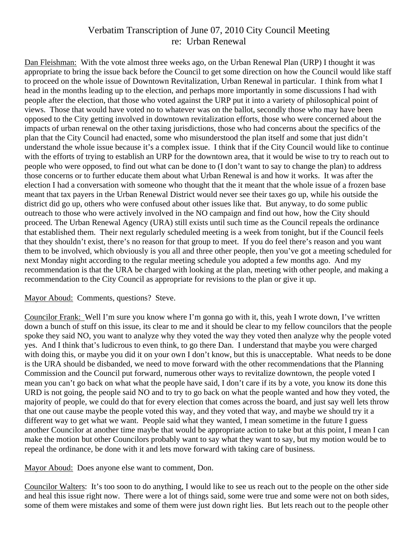# Verbatim Transcription of June 07, 2010 City Council Meeting re: Urban Renewal

Dan Fleishman: With the vote almost three weeks ago, on the Urban Renewal Plan (URP) I thought it was appropriate to bring the issue back before the Council to get some direction on how the Council would like staff to proceed on the whole issue of Downtown Revitalization, Urban Renewal in particular. I think from what I head in the months leading up to the election, and perhaps more importantly in some discussions I had with people after the election, that those who voted against the URP put it into a variety of philosophical point of views. Those that would have voted no to whatever was on the ballot, secondly those who may have been opposed to the City getting involved in downtown revitalization efforts, those who were concerned about the impacts of urban renewal on the other taxing jurisdictions, those who had concerns about the specifics of the plan that the City Council had enacted, some who misunderstood the plan itself and some that just didn't understand the whole issue because it's a complex issue. I think that if the City Council would like to continue with the efforts of trying to establish an URP for the downtown area, that it would be wise to try to reach out to people who were opposed, to find out what can be done to (I don't want to say to change the plan) to address those concerns or to further educate them about what Urban Renewal is and how it works. It was after the election I had a conversation with someone who thought that the it meant that the whole issue of a frozen base meant that tax payers in the Urban Renewal District would never see their taxes go up, while his outside the district did go up, others who were confused about other issues like that. But anyway, to do some public outreach to those who were actively involved in the NO campaign and find out how, how the City should proceed. The Urban Renewal Agency (URA) still exists until such time as the Council repeals the ordinance that established them. Their next regularly scheduled meeting is a week from tonight, but if the Council feels that they shouldn't exist, there's no reason for that group to meet. If you do feel there's reason and you want them to be involved, which obviously is you all and three other people, then you've got a meeting scheduled for next Monday night according to the regular meeting schedule you adopted a few months ago. And my recommendation is that the URA be charged with looking at the plan, meeting with other people, and making a recommendation to the City Council as appropriate for revisions to the plan or give it up.

# Mayor Aboud: Comments, questions? Steve.

Councilor Frank: Well I'm sure you know where I'm gonna go with it, this, yeah I wrote down, I've written down a bunch of stuff on this issue, its clear to me and it should be clear to my fellow councilors that the people spoke they said NO, you want to analyze why they voted the way they voted then analyze why the people voted yes. And I think that's ludicrous to even think, to go there Dan. I understand that maybe you were charged with doing this, or maybe you did it on your own I don't know, but this is unacceptable. What needs to be done is the URA should be disbanded, we need to move forward with the other recommendations that the Planning Commission and the Council put forward, numerous other ways to revitalize downtown, the people voted I mean you can't go back on what what the people have said, I don't care if its by a vote, you know its done this URD is not going, the people said NO and to try to go back on what the people wanted and how they voted, the majority of people, we could do that for every election that comes across the board, and just say well lets throw that one out cause maybe the people voted this way, and they voted that way, and maybe we should try it a different way to get what we want. People said what they wanted, I mean sometime in the future I guess another Councilor at another time maybe that would be appropriate action to take but at this point, I mean I can make the motion but other Councilors probably want to say what they want to say, but my motion would be to repeal the ordinance, be done with it and lets move forward with taking care of business.

Mayor Aboud: Does anyone else want to comment, Don.

Councilor Walters: It's too soon to do anything, I would like to see us reach out to the people on the other side and heal this issue right now. There were a lot of things said, some were true and some were not on both sides, some of them were mistakes and some of them were just down right lies. But lets reach out to the people other